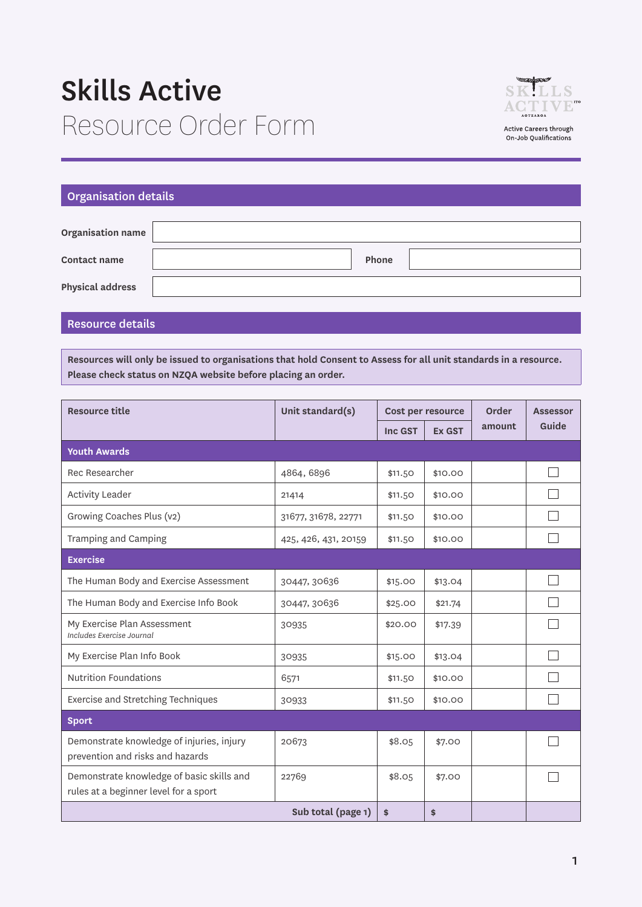## Skills Active Resource Order Form



Active Careers through<br>On-Job Qualifications

### Organisation details

| <b>Organisation name</b> |       |  |
|--------------------------|-------|--|
| <b>Contact name</b>      | Phone |  |
| <b>Physical address</b>  |       |  |

#### Resource details

**Resources will only be issued to organisations that hold Consent to Assess for all unit standards in a resource. Please check status on NZQA website before placing an order.**

| <b>Resource title</b>                                                              | Unit standard(s)     |         | Cost per resource | Order  | <b>Assessor</b> |
|------------------------------------------------------------------------------------|----------------------|---------|-------------------|--------|-----------------|
|                                                                                    |                      | Inc GST | <b>Ex GST</b>     | amount | Guide           |
| <b>Youth Awards</b>                                                                |                      |         |                   |        |                 |
| Rec Researcher                                                                     | 4864,6896            | \$11.50 | \$10.00           |        |                 |
| <b>Activity Leader</b>                                                             | 21414                | \$11.50 | \$10.00           |        |                 |
| Growing Coaches Plus (v2)                                                          | 31677, 31678, 22771  | \$11.50 | \$10.00           |        |                 |
| Tramping and Camping                                                               | 425, 426, 431, 20159 | \$11.50 | \$10.00           |        |                 |
| <b>Exercise</b>                                                                    |                      |         |                   |        |                 |
| The Human Body and Exercise Assessment                                             | 30447, 30636         | \$15.00 | \$13.04           |        |                 |
| The Human Body and Exercise Info Book                                              | 30447, 30636         | \$25.00 | \$21.74           |        |                 |
| My Exercise Plan Assessment<br>Includes Exercise Journal                           | 30935                | \$20.00 | \$17.39           |        |                 |
| My Exercise Plan Info Book                                                         | 30935                | \$15.00 | \$13.04           |        |                 |
| <b>Nutrition Foundations</b>                                                       | 6571                 | \$11.50 | \$10.00           |        |                 |
| Exercise and Stretching Techniques                                                 | 30933                | \$11.50 | \$10.00           |        |                 |
| <b>Sport</b>                                                                       |                      |         |                   |        |                 |
| Demonstrate knowledge of injuries, injury<br>prevention and risks and hazards      | 20673                | \$8.05  | \$7.00            |        |                 |
| Demonstrate knowledge of basic skills and<br>rules at a beginner level for a sport | 22769                | \$8.05  | \$7.00            |        |                 |
|                                                                                    | Sub total (page 1)   | \$      | \$                |        |                 |